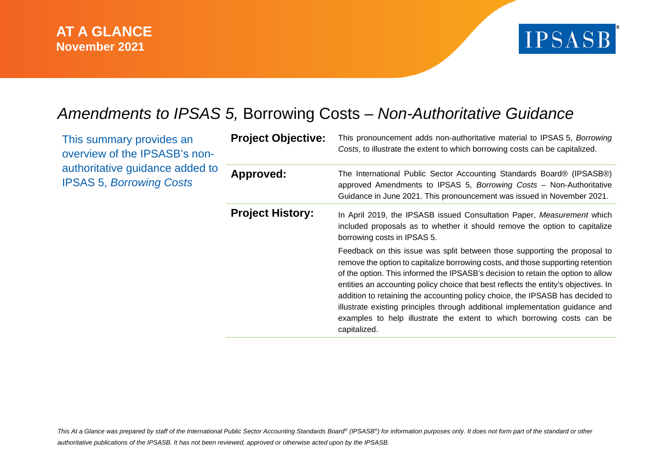

# *Amendments to IPSAS 5,* Borrowing Costs *– Non-Authoritative Guidance*

This summary provides an overview of the IPSASB's nonauthoritative guidance added to IPSAS 5, *Borrowing Costs*

| <b>Project Objective:</b> | This pronouncement adds non-authoritative material to IPSAS 5, Borrowing<br>Costs, to illustrate the extent to which borrowing costs can be capitalized.                                                                                                                                                                                                                                                                                                                                                                                                                                            |
|---------------------------|-----------------------------------------------------------------------------------------------------------------------------------------------------------------------------------------------------------------------------------------------------------------------------------------------------------------------------------------------------------------------------------------------------------------------------------------------------------------------------------------------------------------------------------------------------------------------------------------------------|
| Approved:                 | The International Public Sector Accounting Standards Board® (IPSASB®)<br>approved Amendments to IPSAS 5, Borrowing Costs - Non-Authoritative<br>Guidance in June 2021. This pronouncement was issued in November 2021.                                                                                                                                                                                                                                                                                                                                                                              |
| <b>Project History:</b>   | In April 2019, the IPSASB issued Consultation Paper, Measurement which<br>included proposals as to whether it should remove the option to capitalize<br>borrowing costs in IPSAS 5.                                                                                                                                                                                                                                                                                                                                                                                                                 |
|                           | Feedback on this issue was split between those supporting the proposal to<br>remove the option to capitalize borrowing costs, and those supporting retention<br>of the option. This informed the IPSASB's decision to retain the option to allow<br>entities an accounting policy choice that best reflects the entity's objectives. In<br>addition to retaining the accounting policy choice, the IPSASB has decided to<br>illustrate existing principles through additional implementation guidance and<br>examples to help illustrate the extent to which borrowing costs can be<br>capitalized. |

*This At a Glance was prepared by staff of the International Public Sector Accounting Standards Board® (IPSASB®) for information purposes only. It does not form part of the standard or other authoritative publications of the IPSASB. It has not been reviewed, approved or otherwise acted upon by the IPSASB.*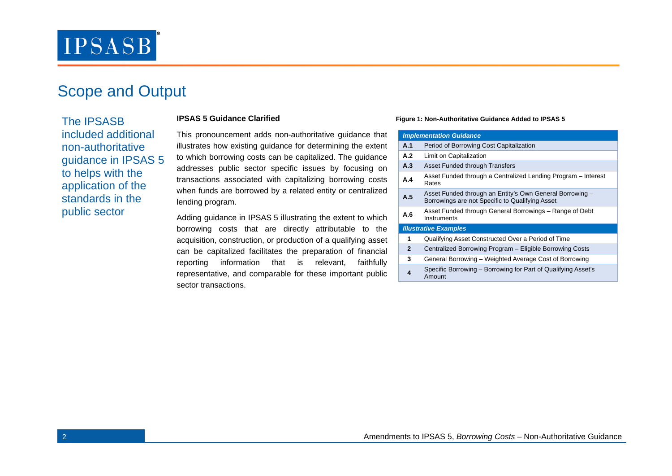# **IPSASB**

## Scope and Output

The IPSASB included additional non-authoritative guidance in IPSAS 5 to helps with the application of the standards in the public sector

### **IPSAS 5 Guidance Clarified**

This pronouncement adds non-authoritative guidance that illustrates how existing guidance for determining the extent to which borrowing costs can be capitalized. The guidance addresses public sector specific issues by focusing on transactions associated with capitalizing borrowing costs when funds are borrowed by a related entity or centralized lending program.

Adding guidance in IPSAS 5 illustrating the extent to which borrowing costs that are directly attributable to the acquisition, construction, or production of a qualifying asset can be capitalized facilitates the preparation of financial reporting information that is relevant, faithfully representative, and comparable for these important public sector transactions.

#### **Figure 1: Non-Authoritative Guidance Added to IPSAS 5**

| <b>Implementation Guidance</b> |                                                                                                             |  |  |
|--------------------------------|-------------------------------------------------------------------------------------------------------------|--|--|
| A.1                            | Period of Borrowing Cost Capitalization                                                                     |  |  |
| A.2                            | Limit on Capitalization                                                                                     |  |  |
| A.3                            | Asset Funded through Transfers                                                                              |  |  |
| A.4                            | Asset Funded through a Centralized Lending Program – Interest<br>Rates                                      |  |  |
| A.5                            | Asset Funded through an Entity's Own General Borrowing -<br>Borrowings are not Specific to Qualifying Asset |  |  |
| A.6                            | Asset Funded through General Borrowings – Range of Debt<br>Instruments                                      |  |  |
| <b>Illustrative Examples</b>   |                                                                                                             |  |  |
| 1                              | Qualifying Asset Constructed Over a Period of Time                                                          |  |  |
| $\mathbf{2}$                   | Centralized Borrowing Program - Eligible Borrowing Costs                                                    |  |  |
| 3                              | General Borrowing - Weighted Average Cost of Borrowing                                                      |  |  |
| 4                              | Specific Borrowing – Borrowing for Part of Qualifying Asset's<br>Amount                                     |  |  |
|                                |                                                                                                             |  |  |